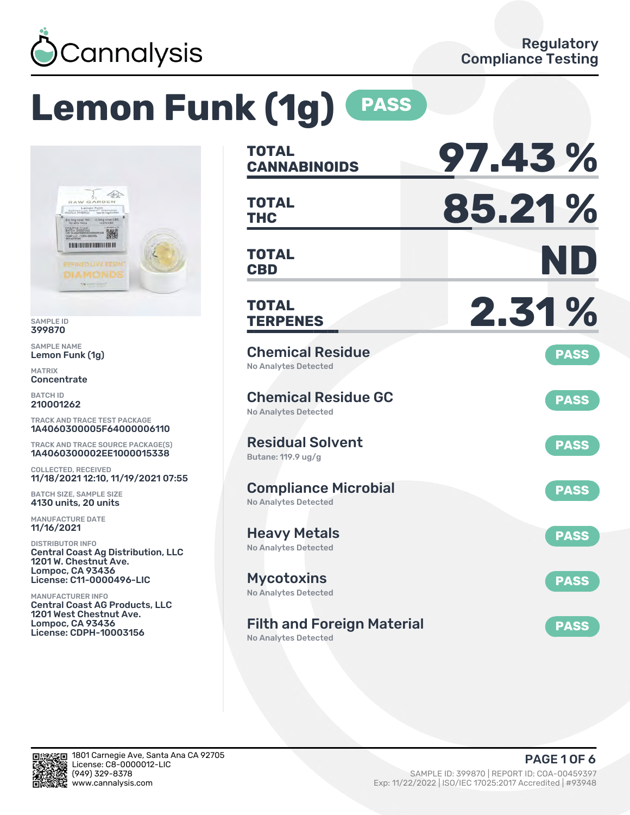

# **Lemon Funk (1g) PASS**



SAMPLE ID 399870

SAMPLE NAME Lemon Funk (1g)

MATRIX Concentrate

BATCH ID 210001262

TRACK AND TRACE TEST PACKAGE 1A4060300005F64000006110

TRACK AND TRACE SOURCE PACKAGE(S) 1A4060300002EE1000015338

COLLECTED, RECEIVED 11/18/2021 12:10, 11/19/2021 07:55

BATCH SIZE, SAMPLE SIZE 4130 units, 20 units

MANUFACTURE DATE 11/16/2021

DISTRIBUTOR INFO Central Coast Ag Distribution, LLC 1201 W. Chestnut Ave. Lompoc, CA 93436 License: C11-0000496-LIC

MANUFACTURER INFO Central Coast AG Products, LLC 1201 West Chestnut Ave. Lompoc, CA 93436 License: CDPH-10003156

| <b>TOTAL</b><br><b>CANNABINOIDS</b>                        | 97.43%      |
|------------------------------------------------------------|-------------|
| <b>TOTAL</b><br><b>THC</b>                                 | 85.21%      |
| <b>TOTAL</b><br><b>CBD</b>                                 | ND          |
| <b>TOTAL</b><br><b>TERPENES</b>                            | 2.31%       |
| <b>Chemical Residue</b><br><b>No Analytes Detected</b>     | <b>PASS</b> |
| <b>Chemical Residue GC</b><br><b>No Analytes Detected</b>  | <b>PASS</b> |
| <b>Residual Solvent</b><br>Butane: 119.9 ug/g              | <b>PASS</b> |
| <b>Compliance Microbial</b><br><b>No Analytes Detected</b> | <b>PASS</b> |
| <b>Heavy Metals</b><br>No Analytes Detected                | <b>PASS</b> |
| <b>Mycotoxins</b><br>No Analytes Detected                  | <b>PASS</b> |
| <b>Filth and Foreign Material</b>                          | <b>PASS</b> |

No Analytes Detected

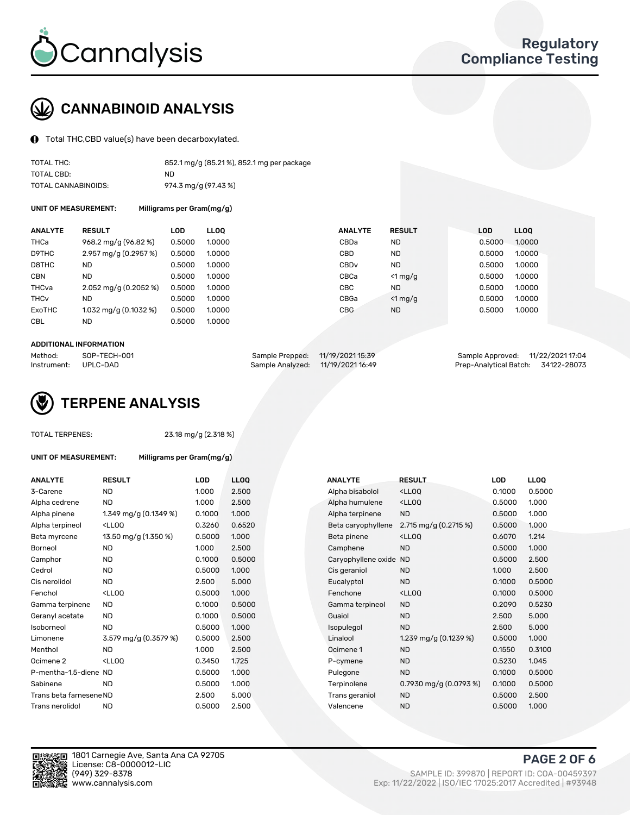

## CANNABINOID ANALYSIS

Total THC,CBD value(s) have been decarboxylated.

| TOTAL THC:          | 852.1 mg/g (85.21%), 852.1 mg per package |
|---------------------|-------------------------------------------|
| TOTAL CBD:          | ND.                                       |
| TOTAL CANNABINOIDS: | 974.3 mg/g (97.43 %)                      |

UNIT OF MEASUREMENT: Milligrams per Gram(mg/g)

| <b>ANALYTE</b>         | <b>RESULT</b>                       | <b>LOD</b> | <b>LLOO</b> | <b>ANALYTE</b>   | <b>RESULT</b> | <b>LOD</b> | <b>LLOO</b> |
|------------------------|-------------------------------------|------------|-------------|------------------|---------------|------------|-------------|
| THCa                   | 968.2 mg/g (96.82 %)                | 0.5000     | 1.0000      | CBDa             | <b>ND</b>     | 0.5000     | 1.0000      |
| D9THC                  | $2.957 \,\mathrm{mag/g}$ (0.2957 %) | 0.5000     | 1.0000      | CBD              | <b>ND</b>     | 0.5000     | 1.0000      |
| D8THC                  | <b>ND</b>                           | 0.5000     | 1.0000      | CBD <sub>v</sub> | <b>ND</b>     | 0.5000     | 1.0000      |
| <b>CBN</b>             | <b>ND</b>                           | 0.5000     | 1.0000      | CBCa             | $<$ 1 mg/g    | 0.5000     | 1.0000      |
| THCva                  | $2.052 \,\mathrm{mq/q}$ (0.2052 %)  | 0.5000     | 1.0000      | CBC              | <b>ND</b>     | 0.5000     | 1.0000      |
| <b>THC<sub>v</sub></b> | <b>ND</b>                           | 0.5000     | 1.0000      | CBGa             | $<$ 1 mg/g    | 0.5000     | 1.0000      |
| ExoTHC                 | $1.032$ mg/g (0.1032 %)             | 0.5000     | 1.0000      | <b>CBG</b>       | <b>ND</b>     | 0.5000     | 1.0000      |
| <b>CBL</b>             | <b>ND</b>                           | 0.5000     | 1.0000      |                  |               |            |             |
|                        |                                     |            |             |                  |               |            |             |

#### ADDITIONAL INFORMATION

| Method:              | SOP-TECH-001 | Sample Prepped: 11/19/2021 15:39  | Sample Approved: 11/22/2021 17:04  |  |
|----------------------|--------------|-----------------------------------|------------------------------------|--|
| Instrument: UPLC-DAD |              | Sample Analyzed: 11/19/2021 16:49 | Prep-Analytical Batch: 34122-28073 |  |



#### TOTAL TERPENES: 23.18 mg/g (2.318 %)

| UNIT OF MEASUREMENT: | Milligrams per Gram(mg/g) |
|----------------------|---------------------------|
|----------------------|---------------------------|

| <b>ANALYTE</b>          | <b>RESULT</b>                                                                                                                             | LOD    | <b>LLOQ</b> | <b>ANALYTE</b>         | <b>RESULT</b>                                       | LOD    | <b>LLOQ</b> |
|-------------------------|-------------------------------------------------------------------------------------------------------------------------------------------|--------|-------------|------------------------|-----------------------------------------------------|--------|-------------|
| 3-Carene                | <b>ND</b>                                                                                                                                 | 1.000  | 2.500       | Alpha bisabolol        | <lloq< td=""><td>0.1000</td><td>0.5000</td></lloq<> | 0.1000 | 0.5000      |
| Alpha cedrene           | <b>ND</b>                                                                                                                                 | 1.000  | 2.500       | Alpha humulene         | <lloq< td=""><td>0.5000</td><td>1.000</td></lloq<>  | 0.5000 | 1.000       |
| Alpha pinene            | 1.349 mg/g (0.1349 %)                                                                                                                     | 0.1000 | 1.000       | Alpha terpinene        | <b>ND</b>                                           | 0.5000 | 1.000       |
| Alpha terpineol         | <lloq< td=""><td>0.3260</td><td>0.6520</td><td>Beta caryophyllene</td><td>2.715 mg/g (0.2715 %)</td><td>0.5000</td><td>1.000</td></lloq<> | 0.3260 | 0.6520      | Beta caryophyllene     | 2.715 mg/g (0.2715 %)                               | 0.5000 | 1.000       |
| Beta myrcene            | 13.50 mg/g (1.350 %)                                                                                                                      | 0.5000 | 1.000       | Beta pinene            | <lloq< td=""><td>0.6070</td><td>1.214</td></lloq<>  | 0.6070 | 1.214       |
| Borneol                 | <b>ND</b>                                                                                                                                 | 1.000  | 2.500       | Camphene               | <b>ND</b>                                           | 0.5000 | 1.000       |
| Camphor                 | ND.                                                                                                                                       | 0.1000 | 0.5000      | Caryophyllene oxide ND |                                                     | 0.5000 | 2.500       |
| Cedrol                  | <b>ND</b>                                                                                                                                 | 0.5000 | 1.000       | Cis geraniol           | <b>ND</b>                                           | 1.000  | 2.500       |
| Cis nerolidol           | ND.                                                                                                                                       | 2.500  | 5.000       | Eucalyptol             | <b>ND</b>                                           | 0.1000 | 0.5000      |
| Fenchol                 | <lloq< td=""><td>0.5000</td><td>1.000</td><td>Fenchone</td><td><lloq< td=""><td>0.1000</td><td>0.5000</td></lloq<></td></lloq<>           | 0.5000 | 1.000       | Fenchone               | <lloq< td=""><td>0.1000</td><td>0.5000</td></lloq<> | 0.1000 | 0.5000      |
| Gamma terpinene         | ND.                                                                                                                                       | 0.1000 | 0.5000      | Gamma terpineol        | <b>ND</b>                                           | 0.2090 | 0.5230      |
| Geranyl acetate         | ND                                                                                                                                        | 0.1000 | 0.5000      | Guaiol                 | <b>ND</b>                                           | 2.500  | 5.000       |
| Isoborneol              | <b>ND</b>                                                                                                                                 | 0.5000 | 1.000       | Isopulegol             | <b>ND</b>                                           | 2.500  | 5.000       |
| Limonene                | 3.579 mg/g (0.3579 %)                                                                                                                     | 0.5000 | 2.500       | Linalool               | 1.239 mg/g $(0.1239\%)$                             | 0.5000 | 1.000       |
| Menthol                 | <b>ND</b>                                                                                                                                 | 1.000  | 2.500       | Ocimene 1              | <b>ND</b>                                           | 0.1550 | 0.3100      |
| Ocimene 2               | <lloq< td=""><td>0.3450</td><td>1.725</td><td>P-cymene</td><td><b>ND</b></td><td>0.5230</td><td>1.045</td></lloq<>                        | 0.3450 | 1.725       | P-cymene               | <b>ND</b>                                           | 0.5230 | 1.045       |
| P-mentha-1,5-diene ND   |                                                                                                                                           | 0.5000 | 1.000       | Pulegone               | <b>ND</b>                                           | 0.1000 | 0.5000      |
| Sabinene                | <b>ND</b>                                                                                                                                 | 0.5000 | 1.000       | Terpinolene            | 0.7930 mg/g (0.0793 %)                              | 0.1000 | 0.5000      |
| Trans beta farnesene ND |                                                                                                                                           | 2.500  | 5.000       | Trans geraniol         | <b>ND</b>                                           | 0.5000 | 2.500       |
| Trans nerolidol         | <b>ND</b>                                                                                                                                 | 0.5000 | 2.500       | Valencene              | <b>ND</b>                                           | 0.5000 | 1.000       |
|                         |                                                                                                                                           |        |             |                        |                                                     |        |             |

| ANALYTE                 | <b>RESULT</b>                                                                                                                                          | LOD    | <b>LLOQ</b> | <b>ANALYTE</b>         | <b>RESULT</b>                                       | <b>LOD</b> | <b>LLOQ</b> |
|-------------------------|--------------------------------------------------------------------------------------------------------------------------------------------------------|--------|-------------|------------------------|-----------------------------------------------------|------------|-------------|
| 3-Carene                | <b>ND</b>                                                                                                                                              | 1.000  | 2.500       | Alpha bisabolol        | <lloq< td=""><td>0.1000</td><td>0.5000</td></lloq<> | 0.1000     | 0.5000      |
| Alpha cedrene           | <b>ND</b>                                                                                                                                              | 1.000  | 2.500       | Alpha humulene         | <ll0q< td=""><td>0.5000</td><td>1.000</td></ll0q<>  | 0.5000     | 1.000       |
| Alpha pinene            | 1.349 mg/g $(0.1349\%)$                                                                                                                                | 0.1000 | 1.000       | Alpha terpinene        | <b>ND</b>                                           | 0.5000     | 1.000       |
| Alpha terpineol         | <lloq< td=""><td>0.3260</td><td>0.6520</td><td>Beta caryophyllene</td><td>2.715 mg/g <math>(0.2715\%)</math></td><td>0.5000</td><td>1.000</td></lloq<> | 0.3260 | 0.6520      | Beta caryophyllene     | 2.715 mg/g $(0.2715\%)$                             | 0.5000     | 1.000       |
| Beta myrcene            | 13.50 mg/g (1.350 %)                                                                                                                                   | 0.5000 | 1.000       | Beta pinene            | <ll0q< td=""><td>0.6070</td><td>1.214</td></ll0q<>  | 0.6070     | 1.214       |
| Borneol                 | <b>ND</b>                                                                                                                                              | 1.000  | 2.500       | Camphene               | <b>ND</b>                                           | 0.5000     | 1.000       |
| Camphor                 | <b>ND</b>                                                                                                                                              | 0.1000 | 0.5000      | Caryophyllene oxide ND |                                                     | 0.5000     | 2.500       |
| Cedrol                  | <b>ND</b>                                                                                                                                              | 0.5000 | 1.000       | Cis geraniol           | <b>ND</b>                                           | 1.000      | 2.500       |
| Cis nerolidol           | <b>ND</b>                                                                                                                                              | 2.500  | 5.000       | Eucalyptol             | <b>ND</b>                                           | 0.1000     | 0.5000      |
| Fenchol                 | <lloq< td=""><td>0.5000</td><td>1.000</td><td>Fenchone</td><td><lloq< td=""><td>0.1000</td><td>0.5000</td></lloq<></td></lloq<>                        | 0.5000 | 1.000       | Fenchone               | <lloq< td=""><td>0.1000</td><td>0.5000</td></lloq<> | 0.1000     | 0.5000      |
| Gamma terpinene         | ND.                                                                                                                                                    | 0.1000 | 0.5000      | Gamma terpineol        | <b>ND</b>                                           | 0.2090     | 0.5230      |
| Geranyl acetate         | <b>ND</b>                                                                                                                                              | 0.1000 | 0.5000      | Guaiol                 | <b>ND</b>                                           | 2.500      | 5.000       |
| Isoborneol              | <b>ND</b>                                                                                                                                              | 0.5000 | 1.000       | Isopulegol             | <b>ND</b>                                           | 2.500      | 5.000       |
| Limonene                | 3.579 mg/g $(0.3579\%)$                                                                                                                                | 0.5000 | 2.500       | Linalool               | 1.239 mg/g $(0.1239\%)$                             | 0.5000     | 1.000       |
| Menthol                 | <b>ND</b>                                                                                                                                              | 1.000  | 2.500       | Ocimene 1              | <b>ND</b>                                           | 0.1550     | 0.3100      |
| Ocimene 2               | <lloq< td=""><td>0.3450</td><td>1.725</td><td>P-cymene</td><td><b>ND</b></td><td>0.5230</td><td>1.045</td></lloq<>                                     | 0.3450 | 1.725       | P-cymene               | <b>ND</b>                                           | 0.5230     | 1.045       |
| P-mentha-1,5-diene ND   |                                                                                                                                                        | 0.5000 | 1.000       | Pulegone               | <b>ND</b>                                           | 0.1000     | 0.5000      |
| Sabinene                | <b>ND</b>                                                                                                                                              | 0.5000 | 1.000       | Terpinolene            | 0.7930 mg/g $(0.0793\%)$                            | 0.1000     | 0.5000      |
| Trans beta farnesene ND |                                                                                                                                                        | 2.500  | 5.000       | Trans geraniol         | <b>ND</b>                                           | 0.5000     | 2.500       |
| Trans nerolidol         | <b>ND</b>                                                                                                                                              | 0.5000 | 2.500       | Valencene              | <b>ND</b>                                           | 0.5000     | 1.000       |
|                         |                                                                                                                                                        |        |             |                        |                                                     |            |             |



PAGE 2 OF 6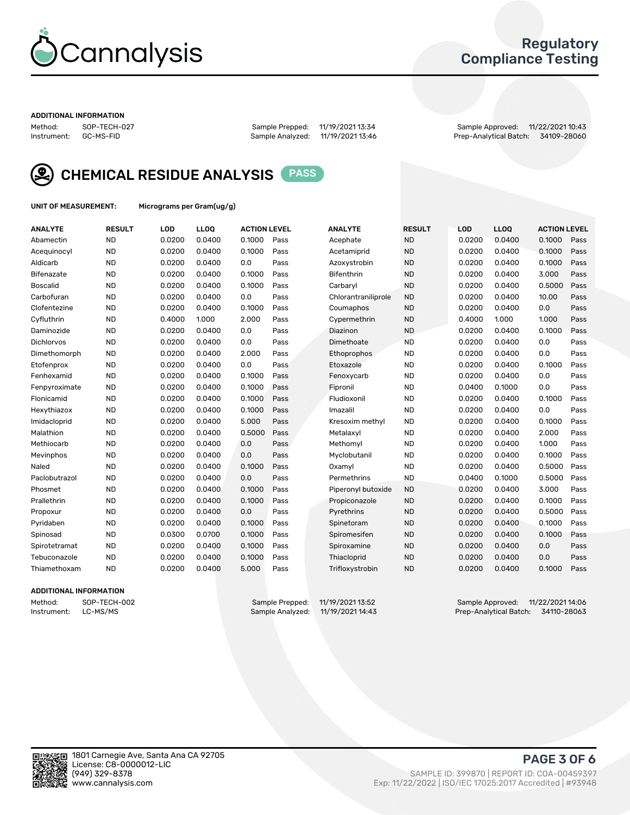

## Regulatory Compliance Testing

#### ADDITIONAL INFORMATION

Method: SOP-TECH-027 Sample Prepped: 11/19/2021 13:34 Sample Approved: 11/22/2021 10:43 Prep-Analytical Batch: 34109-28060



CHEMICAL RESIDUE ANALYSIS PASS

UNIT OF MEASUREMENT: Micrograms per Gram(ug/g)

| <b>ANALYTE</b>    | <b>RESULT</b> | LOD    | <b>LLOQ</b> | <b>ACTION LEVEL</b> |      | <b>ANALYTE</b>      | <b>RESULT</b> | <b>LOD</b> | <b>LLOQ</b> | <b>ACTION LEVEL</b> |      |
|-------------------|---------------|--------|-------------|---------------------|------|---------------------|---------------|------------|-------------|---------------------|------|
| Abamectin         | <b>ND</b>     | 0.0200 | 0.0400      | 0.1000              | Pass | Acephate            | <b>ND</b>     | 0.0200     | 0.0400      | 0.1000              | Pass |
| Acequinocyl       | <b>ND</b>     | 0.0200 | 0.0400      | 0.1000              | Pass | Acetamiprid         | <b>ND</b>     | 0.0200     | 0.0400      | 0.1000              | Pass |
| Aldicarb          | <b>ND</b>     | 0.0200 | 0.0400      | 0.0                 | Pass | Azoxystrobin        | <b>ND</b>     | 0.0200     | 0.0400      | 0.1000              | Pass |
| Bifenazate        | <b>ND</b>     | 0.0200 | 0.0400      | 0.1000              | Pass | <b>Bifenthrin</b>   | <b>ND</b>     | 0.0200     | 0.0400      | 3.000               | Pass |
| <b>Boscalid</b>   | <b>ND</b>     | 0.0200 | 0.0400      | 0.1000              | Pass | Carbarvl            | <b>ND</b>     | 0.0200     | 0.0400      | 0.5000              | Pass |
| Carbofuran        | <b>ND</b>     | 0.0200 | 0.0400      | 0.0                 | Pass | Chlorantraniliprole | <b>ND</b>     | 0.0200     | 0.0400      | 10.00               | Pass |
| Clofentezine      | <b>ND</b>     | 0.0200 | 0.0400      | 0.1000              | Pass | Coumaphos           | <b>ND</b>     | 0.0200     | 0.0400      | 0.0                 | Pass |
| Cyfluthrin        | <b>ND</b>     | 0.4000 | 1.000       | 2.000               | Pass | Cypermethrin        | <b>ND</b>     | 0.4000     | 1.000       | 1.000               | Pass |
| Daminozide        | <b>ND</b>     | 0.0200 | 0.0400      | 0.0                 | Pass | Diazinon            | <b>ND</b>     | 0.0200     | 0.0400      | 0.1000              | Pass |
| <b>Dichlorvos</b> | <b>ND</b>     | 0.0200 | 0.0400      | 0.0                 | Pass | Dimethoate          | <b>ND</b>     | 0.0200     | 0.0400      | 0.0                 | Pass |
| Dimethomorph      | <b>ND</b>     | 0.0200 | 0.0400      | 2.000               | Pass | <b>Ethoprophos</b>  | <b>ND</b>     | 0.0200     | 0.0400      | 0.0                 | Pass |
| Etofenprox        | <b>ND</b>     | 0.0200 | 0.0400      | 0.0                 | Pass | Etoxazole           | <b>ND</b>     | 0.0200     | 0.0400      | 0.1000              | Pass |
| Fenhexamid        | <b>ND</b>     | 0.0200 | 0.0400      | 0.1000              | Pass | Fenoxycarb          | <b>ND</b>     | 0.0200     | 0.0400      | 0.0                 | Pass |
| Fenpyroximate     | <b>ND</b>     | 0.0200 | 0.0400      | 0.1000              | Pass | Fipronil            | <b>ND</b>     | 0.0400     | 0.1000      | 0.0                 | Pass |
| Flonicamid        | <b>ND</b>     | 0.0200 | 0.0400      | 0.1000              | Pass | Fludioxonil         | <b>ND</b>     | 0.0200     | 0.0400      | 0.1000              | Pass |
| Hexythiazox       | <b>ND</b>     | 0.0200 | 0.0400      | 0.1000              | Pass | Imazalil            | <b>ND</b>     | 0.0200     | 0.0400      | 0.0                 | Pass |
| Imidacloprid      | <b>ND</b>     | 0.0200 | 0.0400      | 5.000               | Pass | Kresoxim methyl     | <b>ND</b>     | 0.0200     | 0.0400      | 0.1000              | Pass |
| Malathion         | <b>ND</b>     | 0.0200 | 0.0400      | 0.5000              | Pass | Metalaxyl           | <b>ND</b>     | 0.0200     | 0.0400      | 2.000               | Pass |
| Methiocarb        | <b>ND</b>     | 0.0200 | 0.0400      | 0.0                 | Pass | Methomyl            | <b>ND</b>     | 0.0200     | 0.0400      | 1.000               | Pass |
| Mevinphos         | <b>ND</b>     | 0.0200 | 0.0400      | 0.0                 | Pass | Myclobutanil        | <b>ND</b>     | 0.0200     | 0.0400      | 0.1000              | Pass |
| Naled             | <b>ND</b>     | 0.0200 | 0.0400      | 0.1000              | Pass | Oxamyl              | <b>ND</b>     | 0.0200     | 0.0400      | 0.5000              | Pass |
| Paclobutrazol     | <b>ND</b>     | 0.0200 | 0.0400      | 0.0                 | Pass | Permethrins         | <b>ND</b>     | 0.0400     | 0.1000      | 0.5000              | Pass |
| Phosmet           | <b>ND</b>     | 0.0200 | 0.0400      | 0.1000              | Pass | Piperonyl butoxide  | <b>ND</b>     | 0.0200     | 0.0400      | 3.000               | Pass |
| Prallethrin       | <b>ND</b>     | 0.0200 | 0.0400      | 0.1000              | Pass | Propiconazole       | <b>ND</b>     | 0.0200     | 0.0400      | 0.1000              | Pass |
| Propoxur          | <b>ND</b>     | 0.0200 | 0.0400      | 0.0                 | Pass | Pyrethrins          | <b>ND</b>     | 0.0200     | 0.0400      | 0.5000              | Pass |
| Pyridaben         | <b>ND</b>     | 0.0200 | 0.0400      | 0.1000              | Pass | Spinetoram          | <b>ND</b>     | 0.0200     | 0.0400      | 0.1000              | Pass |
| Spinosad          | <b>ND</b>     | 0.0300 | 0.0700      | 0.1000              | Pass | Spiromesifen        | <b>ND</b>     | 0.0200     | 0.0400      | 0.1000              | Pass |
| Spirotetramat     | <b>ND</b>     | 0.0200 | 0.0400      | 0.1000              | Pass | Spiroxamine         | <b>ND</b>     | 0.0200     | 0.0400      | 0.0                 | Pass |
| Tebuconazole      | <b>ND</b>     | 0.0200 | 0.0400      | 0.1000              | Pass | Thiacloprid         | <b>ND</b>     | 0.0200     | 0.0400      | 0.0                 | Pass |
| Thiamethoxam      | <b>ND</b>     | 0.0200 | 0.0400      | 5.000               | Pass | Trifloxystrobin     | <b>ND</b>     | 0.0200     | 0.0400      | 0.1000              | Pass |

#### ADDITIONAL INFORMATION

Method: SOP-TECH-002 Sample Prepped: 11/19/2021 13:52 Sample Approved: 11/22/2021 14:06<br>Instrument: LC-MS/MS Sample Analyzed: 11/19/2021 14:43 Prep-Analytical Batch: 34110-28063 Prep-Analytical Batch: 34110-28063

PAGE 3 OF 6

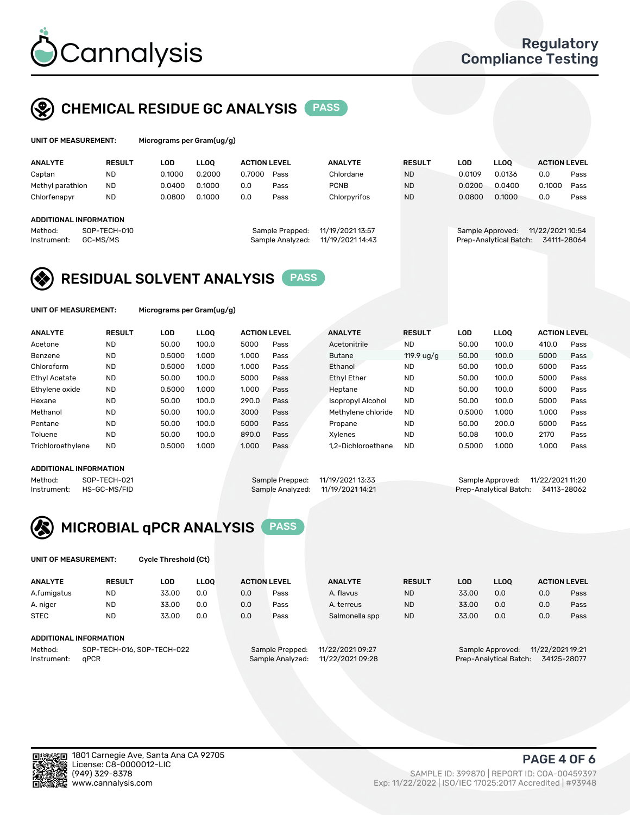

## CHEMICAL RESIDUE GC ANALYSIS PASS

| UNIT OF MEASUREMENT: |               | Micrograms per Gram(ug/g) |      |              |
|----------------------|---------------|---------------------------|------|--------------|
| <b>ANALYTE</b>       | <b>RESULT</b> | LOD                       | LLOO | <b>ACTIO</b> |

| <b>ANALYTE</b>         | <b>RESULT</b> | LOD    | ∟LOO   | <b>ACTION LEVEL</b> |                  | <b>ANALYTE</b>   | <b>RESULT</b> | LOD    | <b>LLOO</b>            | <b>ACTION LEVEL</b> |      |
|------------------------|---------------|--------|--------|---------------------|------------------|------------------|---------------|--------|------------------------|---------------------|------|
| Captan                 | <b>ND</b>     | 0.1000 | 0.2000 | 0.7000              | Pass             | Chlordane        | <b>ND</b>     | 0.0109 | 0.0136                 | 0.0                 | Pass |
| Methyl parathion       | <b>ND</b>     | 0.0400 | 0.1000 | 0.0                 | Pass             | <b>PCNB</b>      | <b>ND</b>     | 0.0200 | 0.0400                 | 0.1000              | Pass |
| Chlorfenapyr           | <b>ND</b>     | 0.0800 | 0.1000 | 0.0                 | Pass             | Chlorpyrifos     | <b>ND</b>     | 0.0800 | 0.1000                 | 0.0                 | Pass |
|                        |               |        |        |                     |                  |                  |               |        |                        |                     |      |
| ADDITIONAL INFORMATION |               |        |        |                     |                  |                  |               |        |                        |                     |      |
| Method:                | SOP-TECH-010  |        |        |                     | Sample Prepped:  | 11/19/2021 13:57 |               |        | Sample Approved:       | 11/22/2021 10:54    |      |
| Instrument:            | GC-MS/MS      |        |        |                     | Sample Analyzed: | 11/19/2021 14:43 |               |        | Prep-Analytical Batch: | 34111-28064         |      |
|                        |               |        |        |                     |                  |                  |               |        |                        |                     |      |

## RESIDUAL SOLVENT ANALYSIS PASS

UNIT OF MEASUREMENT: Micrograms per Gram(ug/g)

| <b>ANALYTE</b>       | <b>RESULT</b> | LOD    | <b>LLOO</b> | <b>ACTION LEVEL</b> |      | <b>ANALYTE</b>           | <b>RESULT</b>        | LOD    | <b>LLOO</b> | <b>ACTION LEVEL</b> |      |
|----------------------|---------------|--------|-------------|---------------------|------|--------------------------|----------------------|--------|-------------|---------------------|------|
| Acetone              | <b>ND</b>     | 50.00  | 100.0       | 5000                | Pass | Acetonitrile             | <b>ND</b>            | 50.00  | 100.0       | 410.0               | Pass |
| Benzene              | <b>ND</b>     | 0.5000 | 1.000       | 1.000               | Pass | Butane                   | 119.9 $\frac{10}{9}$ | 50.00  | 100.0       | 5000                | Pass |
| Chloroform           | <b>ND</b>     | 0.5000 | 1.000       | 1.000               | Pass | Ethanol                  | <b>ND</b>            | 50.00  | 100.0       | 5000                | Pass |
| <b>Ethyl Acetate</b> | <b>ND</b>     | 50.00  | 100.0       | 5000                | Pass | <b>Ethyl Ether</b>       | <b>ND</b>            | 50.00  | 100.0       | 5000                | Pass |
| Ethylene oxide       | <b>ND</b>     | 0.5000 | 1.000       | 1.000               | Pass | Heptane                  | <b>ND</b>            | 50.00  | 100.0       | 5000                | Pass |
| Hexane               | <b>ND</b>     | 50.00  | 100.0       | 290.0               | Pass | <b>Isopropyl Alcohol</b> | <b>ND</b>            | 50.00  | 100.0       | 5000                | Pass |
| Methanol             | <b>ND</b>     | 50.00  | 100.0       | 3000                | Pass | Methylene chloride       | <b>ND</b>            | 0.5000 | 1.000       | 1.000               | Pass |
| Pentane              | <b>ND</b>     | 50.00  | 100.0       | 5000                | Pass | Propane                  | <b>ND</b>            | 50.00  | 200.0       | 5000                | Pass |
| Toluene              | <b>ND</b>     | 50.00  | 100.0       | 890.0               | Pass | Xvlenes                  | <b>ND</b>            | 50.08  | 100.0       | 2170                | Pass |
| Trichloroethylene    | <b>ND</b>     | 0.5000 | 1.000       | 1.000               | Pass | 1.2-Dichloroethane       | <b>ND</b>            | 0.5000 | 1.000       | 1.000               | Pass |

#### ADDITIONAL INFORMATION

|         | ADDITIONAL INFORMATION   |                                   |                                    |  |
|---------|--------------------------|-----------------------------------|------------------------------------|--|
| Method: | SOP-TECH-021             | Sample Prepped: 11/19/2021 13:33  | Sample Approved: 11/22/2021 11:20  |  |
|         | Instrument: HS-GC-MS/FID | Sample Analyzed: 11/19/2021 14:21 | Prep-Analytical Batch: 34113-28062 |  |



UNIT OF MEASUREMENT: Cycle Threshold (Ct)

| <b>ANALYTE</b>                        | <b>RESULT</b>                 | LOD   | <b>LLOO</b> |                  | <b>ACTION LEVEL</b> | <b>ANALYTE</b>   | <b>RESULT</b> | <b>LOD</b>                           | <b>LLOO</b> |             | <b>ACTION LEVEL</b> |
|---------------------------------------|-------------------------------|-------|-------------|------------------|---------------------|------------------|---------------|--------------------------------------|-------------|-------------|---------------------|
| A.fumigatus                           | <b>ND</b>                     | 33.00 | 0.0         | 0.0              | Pass                | A. flavus        | <b>ND</b>     | 33.00                                | 0.0         | 0.0         | Pass                |
| A. niger                              | <b>ND</b>                     | 33.00 | 0.0         | 0.0              | Pass                | A. terreus       | <b>ND</b>     | 33.00                                | 0.0         | 0.0         | Pass                |
| <b>STEC</b>                           | <b>ND</b>                     | 33.00 | 0.0         | 0.0              | Pass                | Salmonella spp   | <b>ND</b>     | 33.00                                | 0.0         | 0.0         | Pass                |
|                                       | <b>ADDITIONAL INFORMATION</b> |       |             |                  |                     |                  |               |                                      |             |             |                     |
| SOP-TECH-016, SOP-TECH-022<br>Method: |                               |       |             |                  | Sample Prepped:     | 11/22/2021 09:27 |               | 11/22/2021 19:21<br>Sample Approved: |             |             |                     |
| aPCR<br>Instrument:                   |                               |       |             | Sample Analyzed: | 11/22/2021 09:28    |                  |               | Prep-Analytical Batch:               |             | 34125-28077 |                     |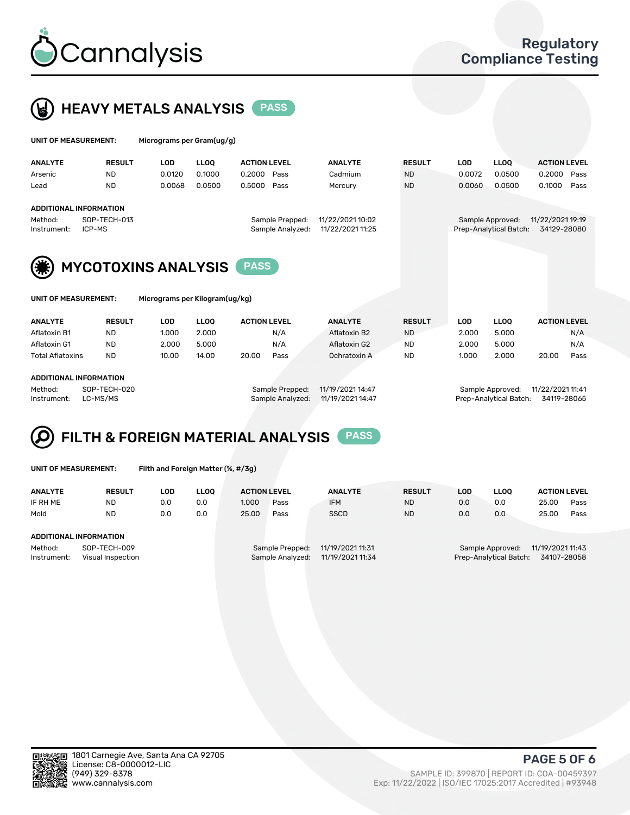



| UNIT OF MEASUREMENT:                                   |                            | Micrograms per Gram(ug/g) |             |                     |                  |                  |               |            |                        |                     |      |
|--------------------------------------------------------|----------------------------|---------------------------|-------------|---------------------|------------------|------------------|---------------|------------|------------------------|---------------------|------|
| <b>ANALYTE</b>                                         | <b>RESULT</b>              | <b>LOD</b>                | <b>LLOO</b> | <b>ACTION LEVEL</b> |                  | <b>ANALYTE</b>   | <b>RESULT</b> | <b>LOD</b> | LLOO <sup>1</sup>      | <b>ACTION LEVEL</b> |      |
| Arsenic                                                | <b>ND</b>                  | 0.0120                    | 0.1000      | 0.2000              | Pass             | Cadmium          | <b>ND</b>     | 0.0072     | 0.0500                 | 0.2000              | Pass |
| Lead                                                   | <b>ND</b>                  | 0.0068                    | 0.0500      | 0.5000              | Pass             | Mercury          | <b>ND</b>     | 0.0060     | 0.0500                 | 0.1000              | Pass |
| <b>ADDITIONAL INFORMATION</b>                          |                            |                           |             |                     |                  |                  |               |            |                        |                     |      |
| Method:                                                | SOP-TECH-013               |                           |             |                     | Sample Prepped:  | 11/22/2021 10:02 |               |            | Sample Approved:       | 11/22/2021 19:19    |      |
| Instrument:                                            | ICP-MS                     |                           |             |                     | Sample Analyzed: | 11/22/2021 11:25 |               |            | Prep-Analytical Batch: | 34129-28080         |      |
| (纂)                                                    | <b>MYCOTOXINS ANALYSIS</b> |                           |             |                     |                  |                  |               |            |                        |                     |      |
| UNIT OF MEASUREMENT:<br>Micrograms per Kilogram(ug/kg) |                            |                           |             |                     |                  |                  |               |            |                        |                     |      |

| <b>ANALYTE</b>          | <b>RESULT</b> | LOD             | <b>LLOO</b>      | <b>ACTION LEVEL</b> | <b>ANALYTE</b> | <b>RESULT</b>    | LOD              | <b>LLOO</b> | <b>ACTION LEVEL</b> |      |
|-------------------------|---------------|-----------------|------------------|---------------------|----------------|------------------|------------------|-------------|---------------------|------|
| Aflatoxin B1            | ND            | 1.000           | 2.000            | N/A                 | Aflatoxin B2   | <b>ND</b>        | 2.000            | 5.000       |                     | N/A  |
| Aflatoxin G1            | <b>ND</b>     | 2.000           | 5.000            | N/A                 | Aflatoxin G2   | <b>ND</b>        | 2.000            | 5.000       |                     | N/A  |
| <b>Total Aflatoxins</b> | <b>ND</b>     | 10.00           | 14.00            | 20.00<br>Pass       | Ochratoxin A   | <b>ND</b>        | 1.000            | 2.000       | 20.00               | Pass |
| ADDITIONAL INFORMATION  |               |                 |                  |                     |                |                  |                  |             |                     |      |
| SOP-TECH-020<br>Method: |               | Sample Prepped: | 11/19/2021 14:47 |                     |                | Sample Approved: | 11/22/2021 11:41 |             |                     |      |

Instrument: LC-MS/MS Sample Analyzed: 11/19/2021 14:47 Prep-Analytical Batch: 34119-28065



|  |  | UNIT OF MEASUREMENT: |
|--|--|----------------------|
|  |  |                      |

Filth and Foreign Matter (%, #/3g)

| <b>ANALYTE</b>         | <b>RESULT</b>                     | LOD | <b>LLOO</b> | <b>ACTION LEVEL</b> |                                     | <b>ANALYTE</b>                       | <b>RESULT</b> | LOD | <b>LLOO</b>                                | <b>ACTION LEVEL</b>             |      |
|------------------------|-----------------------------------|-----|-------------|---------------------|-------------------------------------|--------------------------------------|---------------|-----|--------------------------------------------|---------------------------------|------|
| IF RH ME               | <b>ND</b>                         | 0.0 | 0.0         | 1.000               | Pass                                | <b>IFM</b>                           | <b>ND</b>     | 0.0 | 0.0                                        | 25.00                           | Pass |
| Mold                   | <b>ND</b>                         | 0.0 | 0.0         | 25.00               | Pass                                | <b>SSCD</b>                          | <b>ND</b>     | 0.0 | 0.0                                        | 25.00                           | Pass |
| ADDITIONAL INFORMATION |                                   |     |             |                     |                                     |                                      |               |     |                                            |                                 |      |
| Method:<br>Instrument: | SOP-TECH-009<br>Visual Inspection |     |             |                     | Sample Prepped:<br>Sample Analyzed: | 11/19/2021 11:31<br>11/19/2021 11:34 |               |     | Sample Approved:<br>Prep-Analytical Batch: | 11/19/2021 11:43<br>34107-28058 |      |



PAGE 5 OF 6